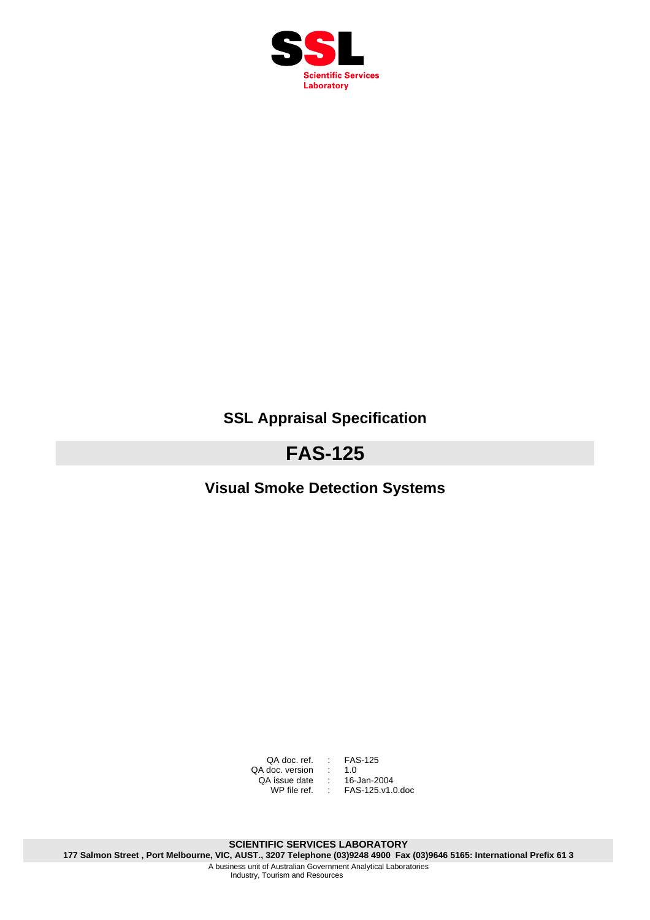

# **SSL Appraisal Specification**

# **FAS-125**

# **Visual Smoke Detection Systems**

QA doc. ref. : FAS-125 QA doc. version : 1.0 QA issue date : 16-Jan-2004 WP file ref. : FAS-125.v1.0.doc

**SCIENTIFIC SERVICES LABORATORY 177 Salmon Street , Port Melbourne, VIC, AUST., 3207 Telephone (03)9248 4900 Fax (03)9646 5165: International Prefix 61 3**  A business unit of Australian Government Analytical Laboratories Industry, Tourism and Resources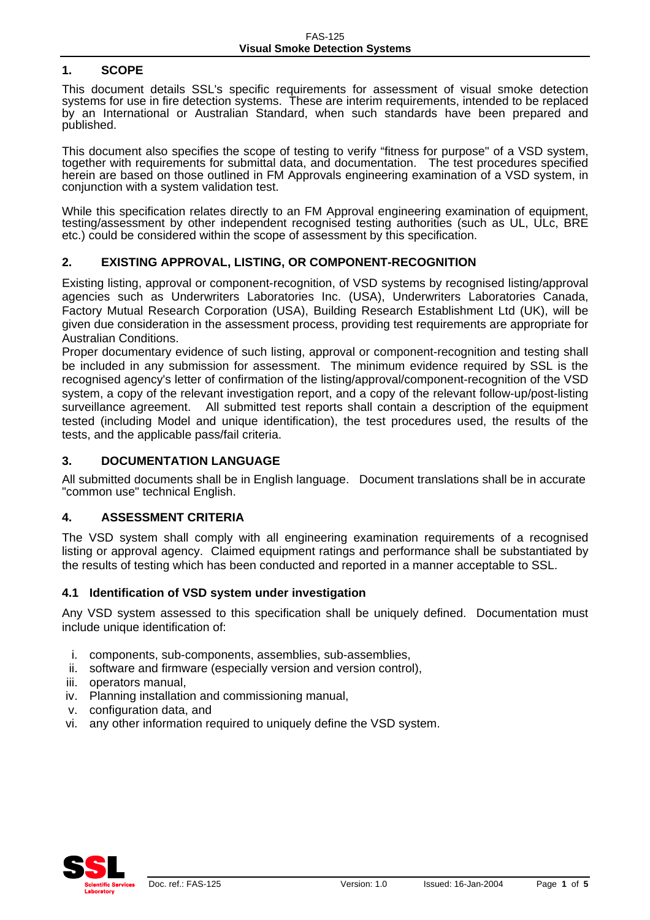# **1. SCOPE**

This document details SSL's specific requirements for assessment of visual smoke detection systems for use in fire detection systems. These are interim requirements, intended to be replaced by an International or Australian Standard, when such standards have been prepared and published.

This document also specifies the scope of testing to verify "fitness for purpose" of a VSD system, together with requirements for submittal data, and documentation. The test procedures specified herein are based on those outlined in FM Approvals engineering examination of a VSD system, in conjunction with a system validation test.

While this specification relates directly to an FM Approval engineering examination of equipment, testing/assessment by other independent recognised testing authorities (such as UL, ULc, BRE etc.) could be considered within the scope of assessment by this specification.

# **2. EXISTING APPROVAL, LISTING, OR COMPONENT-RECOGNITION**

Existing listing, approval or component-recognition, of VSD systems by recognised listing/approval agencies such as Underwriters Laboratories Inc. (USA), Underwriters Laboratories Canada, Factory Mutual Research Corporation (USA), Building Research Establishment Ltd (UK), will be given due consideration in the assessment process, providing test requirements are appropriate for Australian Conditions.

Proper documentary evidence of such listing, approval or component-recognition and testing shall be included in any submission for assessment. The minimum evidence required by SSL is the recognised agency's letter of confirmation of the listing/approval/component-recognition of the VSD system, a copy of the relevant investigation report, and a copy of the relevant follow-up/post-listing surveillance agreement. All submitted test reports shall contain a description of the equipment tested (including Model and unique identification), the test procedures used, the results of the tests, and the applicable pass/fail criteria.

#### **3. DOCUMENTATION LANGUAGE**

All submitted documents shall be in English language. Document translations shall be in accurate "common use" technical English.

#### **4. ASSESSMENT CRITERIA**

The VSD system shall comply with all engineering examination requirements of a recognised listing or approval agency. Claimed equipment ratings and performance shall be substantiated by the results of testing which has been conducted and reported in a manner acceptable to SSL.

#### **4.1 Identification of VSD system under investigation**

Any VSD system assessed to this specification shall be uniquely defined. Documentation must include unique identification of:

- i. components, sub-components, assemblies, sub-assemblies,
- ii. software and firmware (especially version and version control),
- iii. operators manual,
- iv. Planning installation and commissioning manual,
- v. configuration data, and
- vi. any other information required to uniquely define the VSD system.

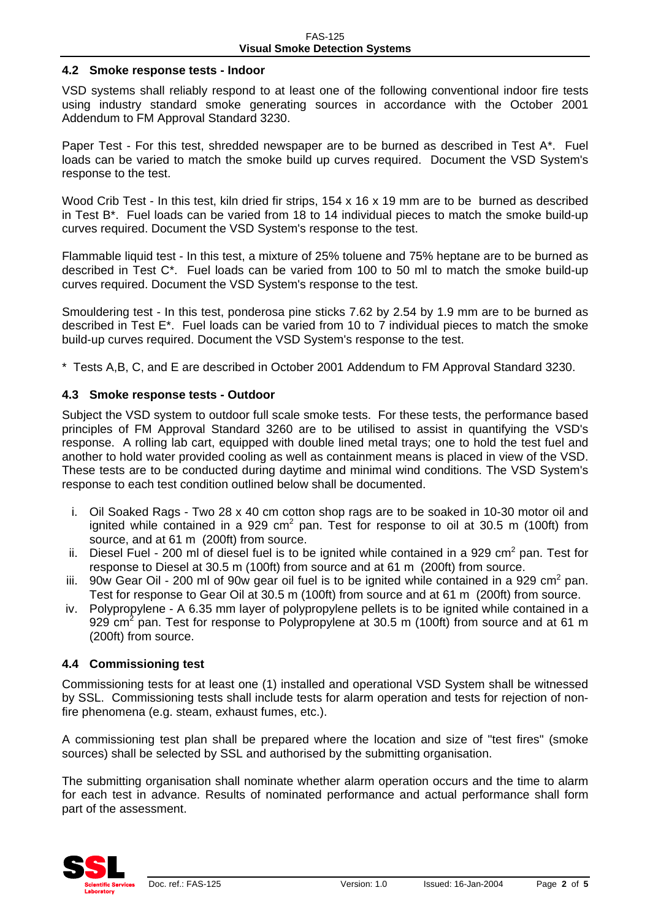#### **4.2 Smoke response tests - Indoor**

VSD systems shall reliably respond to at least one of the following conventional indoor fire tests using industry standard smoke generating sources in accordance with the October 2001 Addendum to FM Approval Standard 3230.

Paper Test - For this test, shredded newspaper are to be burned as described in Test A\*. Fuel loads can be varied to match the smoke build up curves required. Document the VSD System's response to the test.

Wood Crib Test - In this test, kiln dried fir strips, 154 x 16 x 19 mm are to be burned as described in Test B\*. Fuel loads can be varied from 18 to 14 individual pieces to match the smoke build-up curves required. Document the VSD System's response to the test.

Flammable liquid test - In this test, a mixture of 25% toluene and 75% heptane are to be burned as described in Test C\*. Fuel loads can be varied from 100 to 50 ml to match the smoke build-up curves required. Document the VSD System's response to the test.

Smouldering test - In this test, ponderosa pine sticks 7.62 by 2.54 by 1.9 mm are to be burned as described in Test E\*. Fuel loads can be varied from 10 to 7 individual pieces to match the smoke build-up curves required. Document the VSD System's response to the test.

\* Tests A,B, C, and E are described in October 2001 Addendum to FM Approval Standard 3230.

#### **4.3 Smoke response tests - Outdoor**

Subject the VSD system to outdoor full scale smoke tests. For these tests, the performance based principles of FM Approval Standard 3260 are to be utilised to assist in quantifying the VSD's response. A rolling lab cart, equipped with double lined metal trays; one to hold the test fuel and another to hold water provided cooling as well as containment means is placed in view of the VSD. These tests are to be conducted during daytime and minimal wind conditions. The VSD System's response to each test condition outlined below shall be documented.

- i. Oil Soaked Rags Two 28 x 40 cm cotton shop rags are to be soaked in 10-30 motor oil and ignited while contained in a 929 cm<sup>2</sup> pan. Test for response to oil at 30.5 m (100ft) from source, and at 61 m (200ft) from source.
- ii. Diesel Fuel 200 ml of diesel fuel is to be ignited while contained in a 929 cm<sup>2</sup> pan. Test for response to Diesel at 30.5 m (100ft) from source and at 61 m (200ft) from source.
- iii. 90w Gear Oil 200 ml of 90w gear oil fuel is to be ignited while contained in a 929 cm<sup>2</sup> pan. Test for response to Gear Oil at 30.5 m (100ft) from source and at 61 m (200ft) from source.
- iv. Polypropylene A 6.35 mm layer of polypropylene pellets is to be ignited while contained in a 929 cm<sup>2</sup> pan. Test for response to Polypropylene at 30.5 m (100ft) from source and at 61 m (200ft) from source.

#### **4.4 Commissioning test**

Commissioning tests for at least one (1) installed and operational VSD System shall be witnessed by SSL. Commissioning tests shall include tests for alarm operation and tests for rejection of nonfire phenomena (e.g. steam, exhaust fumes, etc.).

A commissioning test plan shall be prepared where the location and size of "test fires" (smoke sources) shall be selected by SSL and authorised by the submitting organisation.

The submitting organisation shall nominate whether alarm operation occurs and the time to alarm for each test in advance. Results of nominated performance and actual performance shall form part of the assessment.

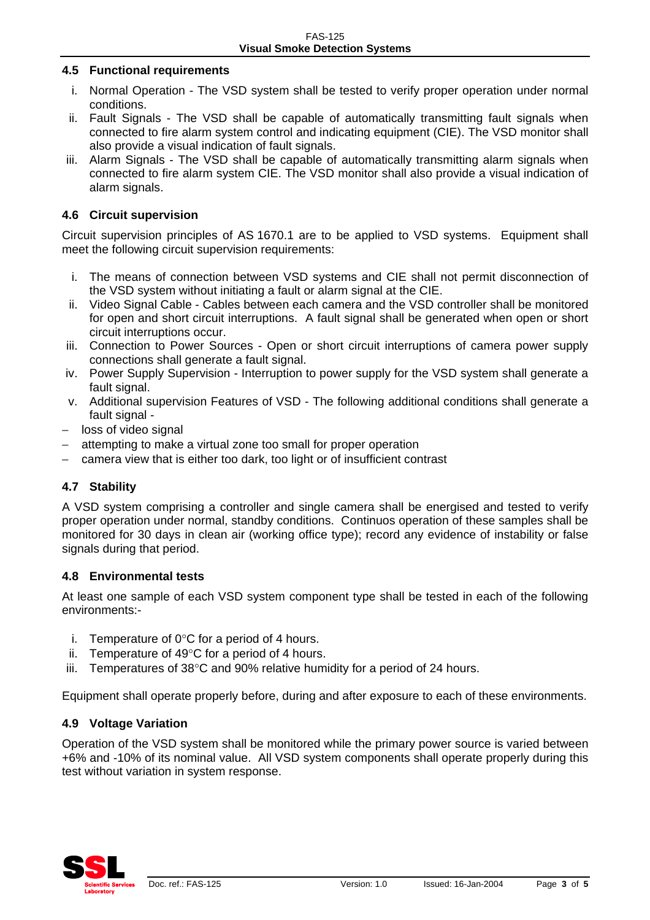#### **4.5 Functional requirements**

- i. Normal Operation The VSD system shall be tested to verify proper operation under normal conditions.
- ii. Fault Signals The VSD shall be capable of automatically transmitting fault signals when connected to fire alarm system control and indicating equipment (CIE). The VSD monitor shall also provide a visual indication of fault signals.
- iii. Alarm Signals The VSD shall be capable of automatically transmitting alarm signals when connected to fire alarm system CIE. The VSD monitor shall also provide a visual indication of alarm signals.

#### **4.6 Circuit supervision**

Circuit supervision principles of AS 1670.1 are to be applied to VSD systems. Equipment shall meet the following circuit supervision requirements:

- i. The means of connection between VSD systems and CIE shall not permit disconnection of the VSD system without initiating a fault or alarm signal at the CIE.
- ii. Video Signal Cable Cables between each camera and the VSD controller shall be monitored for open and short circuit interruptions. A fault signal shall be generated when open or short circuit interruptions occur.
- iii. Connection to Power Sources Open or short circuit interruptions of camera power supply connections shall generate a fault signal.
- iv. Power Supply Supervision Interruption to power supply for the VSD system shall generate a fault signal.
- v. Additional supervision Features of VSD The following additional conditions shall generate a fault signal -
- − loss of video signal
- − attempting to make a virtual zone too small for proper operation
- − camera view that is either too dark, too light or of insufficient contrast

# **4.7 Stability**

A VSD system comprising a controller and single camera shall be energised and tested to verify proper operation under normal, standby conditions. Continuos operation of these samples shall be monitored for 30 days in clean air (working office type); record any evidence of instability or false signals during that period.

#### **4.8 Environmental tests**

At least one sample of each VSD system component type shall be tested in each of the following environments:-

- i. Temperature of  $0^{\circ}$ C for a period of 4 hours.
- ii. Temperature of 49°C for a period of 4 hours.
- iii. Temperatures of 38°C and 90% relative humidity for a period of 24 hours.

Equipment shall operate properly before, during and after exposure to each of these environments.

#### **4.9 Voltage Variation**

Operation of the VSD system shall be monitored while the primary power source is varied between +6% and -10% of its nominal value. All VSD system components shall operate properly during this test without variation in system response.

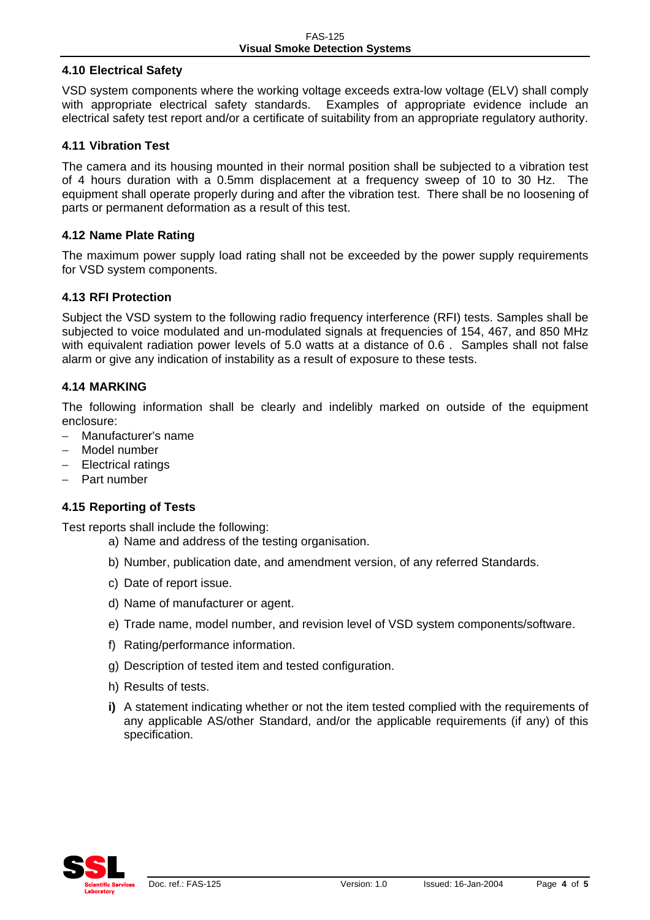#### **4.10 Electrical Safety**

VSD system components where the working voltage exceeds extra-low voltage (ELV) shall comply with appropriate electrical safety standards. Examples of appropriate evidence include an electrical safety test report and/or a certificate of suitability from an appropriate regulatory authority.

#### **4.11 Vibration Test**

The camera and its housing mounted in their normal position shall be subjected to a vibration test of 4 hours duration with a 0.5mm displacement at a frequency sweep of 10 to 30 Hz. The equipment shall operate properly during and after the vibration test. There shall be no loosening of parts or permanent deformation as a result of this test.

#### **4.12 Name Plate Rating**

The maximum power supply load rating shall not be exceeded by the power supply requirements for VSD system components.

#### **4.13 RFI Protection**

Subject the VSD system to the following radio frequency interference (RFI) tests. Samples shall be subjected to voice modulated and un-modulated signals at frequencies of 154, 467, and 850 MHz with equivalent radiation power levels of 5.0 watts at a distance of 0.6 . Samples shall not false alarm or give any indication of instability as a result of exposure to these tests.

#### **4.14 MARKING**

The following information shall be clearly and indelibly marked on outside of the equipment enclosure:

- − Manufacturer's name
- − Model number
- − Electrical ratings
- − Part number

#### **4.15 Reporting of Tests**

Test reports shall include the following:

- a) Name and address of the testing organisation.
- b) Number, publication date, and amendment version, of any referred Standards.
- c) Date of report issue.
- d) Name of manufacturer or agent.
- e) Trade name, model number, and revision level of VSD system components/software.
- f) Rating/performance information.
- g) Description of tested item and tested configuration.
- h) Results of tests.
- **i)** A statement indicating whether or not the item tested complied with the requirements of any applicable AS/other Standard, and/or the applicable requirements (if any) of this specification.